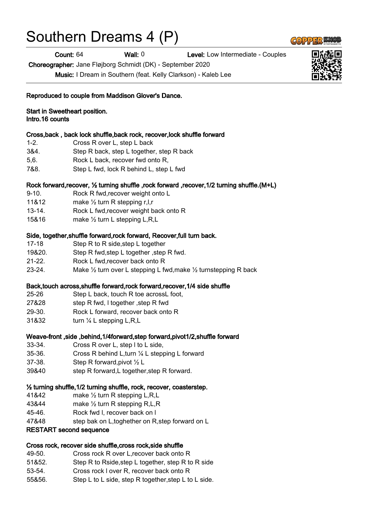# Southern Dreams 4 (P)

Count: 64 Wall: 0 Level: Low Intermediate - Couples

Choreographer: Jane Fløjborg Schmidt (DK) - September 2020

Music: I Dream in Southern (feat. Kelly Clarkson) - Kaleb Lee

|  | <b>Start in Sweetheart position.</b> |  |
|--|--------------------------------------|--|
|--|--------------------------------------|--|

Intro.16 counts

#### Cross,back , back lock shuffle,back rock, recover,lock shuffle forward

- 1-2. Cross R over L, step L back
- 3&4. Step R back, step L together, step R back
- 5,6. Rock L back, recover fwd onto R,
- 7&8. Step L fwd, lock R behind L, step L fwd

#### Rock forward,recover, ½ turning shuffle ,rock forward ,recover,1/2 turning shuffle.(M+L)

- 9-10. Rock R fwd, recover weight onto L
- 11&12 make 1/2 turn R stepping r,l,r
- 13-14. Rock L fwd,recover weight back onto R
- 15&16 make ½ turn L stepping L,R,L

#### Side, together, shuffle forward, rock forward, Recover, full turn back.

- 17-18 Step R to R side,step L together
- 19&20. Step R fwd,step L together ,step R fwd.
- 21-22. Rock L fwd,recover back onto R
- 23-24. Make  $\frac{1}{2}$  turn over L stepping L fwd, make  $\frac{1}{2}$  turnstepping R back

## Back,touch across,shuffle forward,rock forward,recover,1/4 side shuffle

- 25-26 Step L back, touch R toe acrossL foot,
- 27&28 step R fwd, l together ,step R fwd
- 29-30. Rock L forward, recover back onto R
- 31&32 turn ¼ L stepping L,R,L

## Weave-front ,side ,behind,1/4forward,step forward,pivot1/2,shuffle forward

- 33-34. Cross R over L, step l to L side,
- 35-36. Cross R behind L,turn ¼ L stepping L forward
- 37-38. Step R forward,pivot ½ L
- 39&40 step R forward,L together,step R forward.

## ½ turning shuffle,1/2 turning shuffle, rock, recover, coasterstep.

- 41&42 make ½ turn R stepping L,R,L
- 43&44 make ½ turn R stepping R,L,R
- 45-46. Rock fwd l, recover back on l
- 47&48 step bak on L,toghether on R,step forward on L

#### RESTART second sequence

#### Cross rock, recover side shuffle,cross rock,side shuffle

- 49-50. Cross rock R over L,recover back onto R
- 51&52. Step R to Rside,step L together, step R to R side
- 53-54. Cross rock l over R, recover back onto R
- 55&56. Step L to L side, step R together,step L to L side.